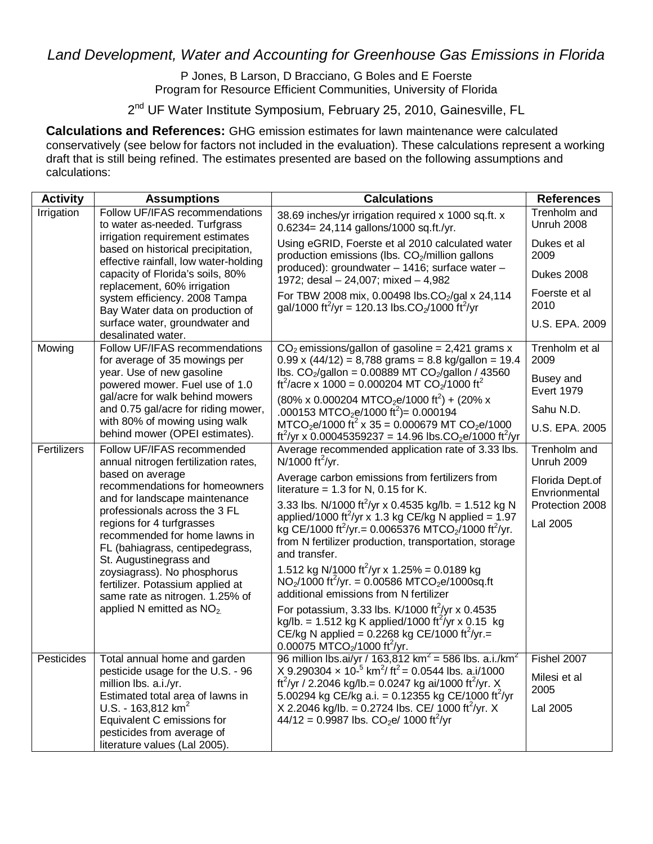## *Land Development, Water and Accounting for Greenhouse Gas Emissions in Florida*

## P Jones, B Larson, D Bracciano, G Boles and E Foerste Program for Resource Efficient Communities, University of Florida

2<sup>nd</sup> UF Water Institute Symposium, February 25, 2010, Gainesville, FL

**Calculations and References:** GHG emission estimates for lawn maintenance were calculated conservatively (see below for factors not included in the evaluation). These calculations represent a working draft that is still being refined. The estimates presented are based on the following assumptions and calculations:

| <b>Activity</b> | <b>Assumptions</b>                                                                                                                                                                                                                                                                                                                                                                                                                                          | <b>Calculations</b>                                                                                                                                                                                                                                 | <b>References</b>                 |
|-----------------|-------------------------------------------------------------------------------------------------------------------------------------------------------------------------------------------------------------------------------------------------------------------------------------------------------------------------------------------------------------------------------------------------------------------------------------------------------------|-----------------------------------------------------------------------------------------------------------------------------------------------------------------------------------------------------------------------------------------------------|-----------------------------------|
| Irrigation      | Follow UF/IFAS recommendations<br>to water as-needed. Turfgrass<br>irrigation requirement estimates<br>based on historical precipitation,<br>effective rainfall, low water-holding<br>capacity of Florida's soils, 80%<br>replacement, 60% irrigation<br>system efficiency. 2008 Tampa<br>Bay Water data on production of<br>surface water, groundwater and<br>desalinated water.                                                                           | 38.69 inches/yr irrigation required x 1000 sq.ft. x<br>0.6234= 24,114 gallons/1000 sq.ft./yr.                                                                                                                                                       | Trenholm and<br>Unruh 2008        |
|                 |                                                                                                                                                                                                                                                                                                                                                                                                                                                             | Using eGRID, Foerste et al 2010 calculated water<br>production emissions (lbs. CO <sub>2</sub> /million gallons                                                                                                                                     | Dukes et al<br>2009               |
|                 |                                                                                                                                                                                                                                                                                                                                                                                                                                                             | produced): groundwater - 1416; surface water -<br>1972; desal $-24,007$ ; mixed $-4,982$                                                                                                                                                            | Dukes 2008                        |
|                 |                                                                                                                                                                                                                                                                                                                                                                                                                                                             | For TBW 2008 mix, 0.00498 lbs.CO <sub>2</sub> /gal x 24,114<br>gal/1000 ft <sup>2</sup> /yr = 120.13 lbs.CO <sub>2</sub> /1000 ft <sup>2</sup> /yr                                                                                                  | Foerste et al<br>2010             |
|                 |                                                                                                                                                                                                                                                                                                                                                                                                                                                             |                                                                                                                                                                                                                                                     | U.S. EPA. 2009                    |
| Mowing          | Follow UF/IFAS recommendations<br>for average of 35 mowings per<br>year. Use of new gasoline<br>powered mower. Fuel use of 1.0<br>gal/acre for walk behind mowers<br>and 0.75 gal/acre for riding mower,                                                                                                                                                                                                                                                    | $CO2$ emissions/gallon of gasoline = 2,421 grams x<br>$0.99 \times (44/12) = 8,788$ grams = 8.8 kg/gallon = 19.4                                                                                                                                    | Trenholm et al<br>2009            |
|                 |                                                                                                                                                                                                                                                                                                                                                                                                                                                             | lbs. $CO_2/gallon = 0.00889$ MT $CO_2/gallon / 43560$<br>ft <sup>2</sup> /acre x 1000 = 0.000204 MT CO <sub>2</sub> /1000 ft <sup>2</sup>                                                                                                           | Busey and<br><b>Evert 1979</b>    |
|                 |                                                                                                                                                                                                                                                                                                                                                                                                                                                             | $(80\% \times 0.000204 \text{ MTCO}_2\text{e}/1000 \text{ ft}^2) + (20\% \times 1000 \text{ ft})$<br>.000153 MTCO <sub>2</sub> e/1000 ft <sup>2</sup> )= 0.000194                                                                                   | Sahu N.D.                         |
|                 | with 80% of mowing using walk<br>behind mower (OPEI estimates).                                                                                                                                                                                                                                                                                                                                                                                             | $MTCO2e/1000$ ft <sup>2</sup> x 35 = 0.000679 MT CO <sub>2</sub> e/1000<br>ft <sup>2</sup> /yr x 0.00045359237 = 14.96 lbs.CO <sub>2</sub> e/1000 ft <sup>2</sup> /yr                                                                               | U.S. EPA. 2005                    |
| Fertilizers     | Follow UF/IFAS recommended<br>annual nitrogen fertilization rates,<br>based on average<br>recommendations for homeowners<br>and for landscape maintenance<br>professionals across the 3 FL<br>regions for 4 turfgrasses<br>recommended for home lawns in<br>FL (bahiagrass, centipedegrass,<br>St. Augustinegrass and<br>zoysiagrass). No phosphorus<br>fertilizer. Potassium applied at<br>same rate as nitrogen. 1.25% of<br>applied N emitted as $NO2$ . | Average recommended application rate of 3.33 lbs.<br>N/1000 ft <sup>2</sup> /yr.                                                                                                                                                                    | Trenholm and<br><b>Unruh 2009</b> |
|                 |                                                                                                                                                                                                                                                                                                                                                                                                                                                             | Average carbon emissions from fertilizers from<br>literature = $1.3$ for N, 0.15 for K.                                                                                                                                                             | Florida Dept.of<br>Envrionmental  |
|                 |                                                                                                                                                                                                                                                                                                                                                                                                                                                             | 3.33 lbs. N/1000 ft <sup>2</sup> /yr x 0.4535 kg/lb. = 1.512 kg N<br>applied/1000 ft <sup>2</sup> /yr x 1.3 kg CE/kg N applied = 1.97                                                                                                               | Protection 2008                   |
|                 |                                                                                                                                                                                                                                                                                                                                                                                                                                                             | kg CE/1000 ft <sup>2</sup> /yr. = 0.0065376 MTCO <sub>2</sub> /1000 ft <sup>2</sup> /yr.<br>from N fertilizer production, transportation, storage<br>and transfer.                                                                                  | Lal 2005                          |
|                 |                                                                                                                                                                                                                                                                                                                                                                                                                                                             | 1.512 kg N/1000 ft <sup>2</sup> /yr x 1.25% = 0.0189 kg<br>$NO2/1000$ ft <sup>2</sup> /yr. = 0.00586 MTCO <sub>2</sub> e/1000sq.ft<br>additional emissions from N fertilizer                                                                        |                                   |
|                 |                                                                                                                                                                                                                                                                                                                                                                                                                                                             | For potassium, 3.33 lbs. K/1000 ft <sup>2</sup> /yr x 0.4535<br>kg/lb. = 1.512 kg K applied/1000 ft <sup>2</sup> /yr x 0.15 kg<br>CE/kg N applied = 0.2268 kg CE/1000 ft <sup>2</sup> /yr.=<br>0.00075 MTCO <sub>2</sub> /1000 ft <sup>2</sup> /yr. |                                   |
| Pesticides      | Total annual home and garden<br>pesticide usage for the U.S. - 96                                                                                                                                                                                                                                                                                                                                                                                           | 96 million lbs.ai/yr / 163,812 km <sup>2</sup> = 586 lbs. a.i./km <sup>2</sup><br>X 9.290304 $\times$ 10 <sup>-5</sup> km <sup>2</sup> / ft <sup>2</sup> = 0.0544 lbs. a.i/1000                                                                     | Fishel 2007                       |
|                 | million lbs. a.i./yr.<br>Estimated total area of lawns in                                                                                                                                                                                                                                                                                                                                                                                                   | ft <sup>2</sup> /yr / 2.2046 kg/lb.= 0.0247 kg ai/1000 ft <sup>2</sup> /yr. X<br>5.00294 kg CE/kg a.i. = 0.12355 kg CE/1000 ft <sup>2</sup> /yr                                                                                                     | Milesi et al<br>2005              |
|                 | U.S. - 163,812 $km^2$                                                                                                                                                                                                                                                                                                                                                                                                                                       | X 2.2046 kg/lb. = 0.2724 lbs. CE/ 1000 ft <sup>2</sup> /yr. X                                                                                                                                                                                       | Lal 2005                          |
|                 | Equivalent C emissions for<br>pesticides from average of                                                                                                                                                                                                                                                                                                                                                                                                    | $44/12 = 0.9987$ lbs. CO <sub>2</sub> e/ 1000 ft <sup>2</sup> /yr                                                                                                                                                                                   |                                   |
|                 | literature values (Lal 2005).                                                                                                                                                                                                                                                                                                                                                                                                                               |                                                                                                                                                                                                                                                     |                                   |